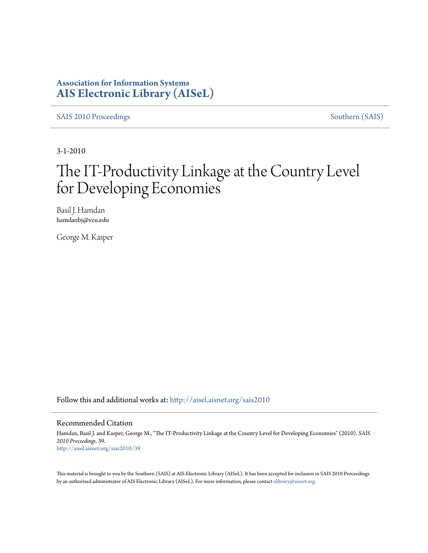### **Association for Information Systems [AIS Electronic Library \(AISeL\)](http://aisel.aisnet.org?utm_source=aisel.aisnet.org%2Fsais2010%2F39&utm_medium=PDF&utm_campaign=PDFCoverPages)**

[SAIS 2010 Proceedings](http://aisel.aisnet.org/sais2010?utm_source=aisel.aisnet.org%2Fsais2010%2F39&utm_medium=PDF&utm_campaign=PDFCoverPages) [Southern \(SAIS\)](http://aisel.aisnet.org/sais?utm_source=aisel.aisnet.org%2Fsais2010%2F39&utm_medium=PDF&utm_campaign=PDFCoverPages)

3-1-2010

# The IT-Productivity Linkage at the Country Level for Developing Economies

Basil J. Hamdan hamdanbj@vcu.edu

George M. Kasper

Follow this and additional works at: [http://aisel.aisnet.org/sais2010](http://aisel.aisnet.org/sais2010?utm_source=aisel.aisnet.org%2Fsais2010%2F39&utm_medium=PDF&utm_campaign=PDFCoverPages)

#### Recommended Citation

Hamdan, Basil J. and Kasper, George M., "The IT-Productivity Linkage at the Country Level for Developing Economies" (2010). *SAIS 2010 Proceedings*. 39. [http://aisel.aisnet.org/sais2010/39](http://aisel.aisnet.org/sais2010/39?utm_source=aisel.aisnet.org%2Fsais2010%2F39&utm_medium=PDF&utm_campaign=PDFCoverPages)

This material is brought to you by the Southern (SAIS) at AIS Electronic Library (AISeL). It has been accepted for inclusion in SAIS 2010 Proceedings by an authorized administrator of AIS Electronic Library (AISeL). For more information, please contact [elibrary@aisnet.org](mailto:elibrary@aisnet.org%3E).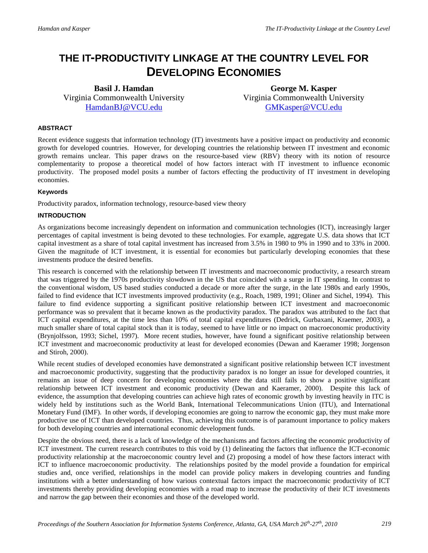## **THE IT-PRODUCTIVITY LINKAGE AT THE COUNTRY LEVEL FOR DEVELOPING ECONOMIES**

**Basil J. Hamdan** Virginia Commonwealth University [HamdanBJ@VCU.edu](mailto:HamdanBJ@VCU.edu)

**George M. Kasper** Virginia Commonwealth University [GMKasper@VCU.edu](mailto:GMKasper@VCU.edu)

#### **ABSTRACT**

Recent evidence suggests that information technology (IT) investments have a positive impact on productivity and economic growth for developed countries. However, for developing countries the relationship between IT investment and economic growth remains unclear. This paper draws on the resource-based view (RBV) theory with its notion of resource complementarity to propose a theoretical model of how factors interact with IT investment to influence economic productivity. The proposed model posits a number of factors effecting the productivity of IT investment in developing economies.

#### **Keywords**

Productivity paradox, information technology, resource-based view theory

#### **INTRODUCTION**

As organizations become increasingly dependent on information and communication technologies (ICT), increasingly larger percentages of capital investment is being devoted to these technologies. For example, aggregate U.S. data shows that ICT capital investment as a share of total capital investment has increased from 3.5% in 1980 to 9% in 1990 and to 33% in 2000. Given the magnitude of ICT investment, it is essential for economies but particularly developing economies that these investments produce the desired benefits.

This research is concerned with the relationship between IT investments and macroeconomic productivity, a research stream that was triggered by the 1970s productivity slowdown in the US that coincided with a surge in IT spending. In contrast to the conventional wisdom, US based studies conducted a decade or more after the surge, in the late 1980s and early 1990s, failed to find evidence that ICT investments improved productivity (e.g., Roach, 1989, 1991; Oliner and Sichel, 1994). This failure to find evidence supporting a significant positive relationship between ICT investment and macroeconomic performance was so prevalent that it became known as the productivity paradox. The paradox was attributed to the fact that ICT capital expenditures, at the time less than 10% of total capital expenditures (Dedrick, Gurbaxani, Kraemer, 2003), a much smaller share of total capital stock than it is today, seemed to have little or no impact on macroeconomic productivity (Brynjolfsson, 1993; Sichel, 1997). More recent studies, however, have found a significant positive relationship between ICT investment and macroeconomic productivity at least for developed economies (Dewan and Kaeramer 1998; Jorgenson and Stiroh, 2000).

While recent studies of developed economies have demonstrated a significant positive relationship between ICT investment and macroeconomic productivity, suggesting that the productivity paradox is no longer an issue for developed countries, it remains an issue of deep concern for developing economies where the data still fails to show a positive significant relationship between ICT investment and economic productivity (Dewan and Kaeramer, 2000). Despite this lack of evidence, the assumption that developing countries can achieve high rates of economic growth by investing heavily in ITC is widely held by institutions such as the World Bank, International Telecommunications Union (ITU), and International Monetary Fund (IMF). In other words, if developing economies are going to narrow the economic gap, they must make more productive use of ICT than developed countries. Thus, achieving this outcome is of paramount importance to policy makers for both developing countries and international economic development funds.

Despite the obvious need, there is a lack of knowledge of the mechanisms and factors affecting the economic productivity of ICT investment. The current research contributes to this void by (1) delineating the factors that influence the ICT-economic productivity relationship at the macroeconomic country level and (2) proposing a model of how these factors interact with ICT to influence macroeconomic productivity. The relationships posited by the model provide a foundation for empirical studies and, once verified, relationships in the model can provide policy makers in developing countries and funding institutions with a better understanding of how various contextual factors impact the macroeconomic productivity of ICT investments thereby providing developing economies with a road map to increase the productivity of their ICT investments and narrow the gap between their economies and those of the developed world.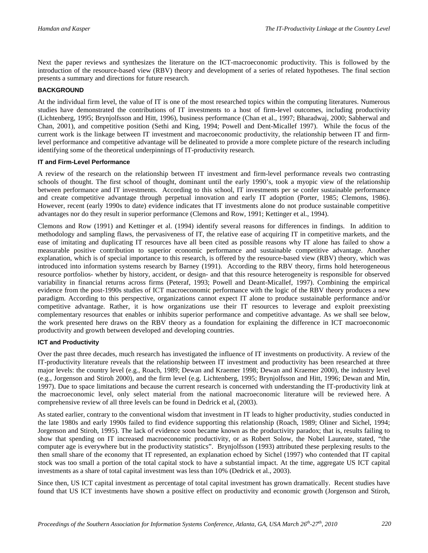Next the paper reviews and synthesizes the literature on the ICT-macroeconomic productivity. This is followed by the introduction of the resource-based view (RBV) theory and development of a series of related hypotheses. The final section presents a summary and directions for future research.

#### **BACKGROUND**

At the individual firm level, the value of IT is one of the most researched topics within the computing literatures. Numerous studies have demonstrated the contributions of IT investments to a host of firm-level outcomes, including productivity (Lichtenberg, 1995; Brynjolfsson and Hitt, 1996), business performance (Chan et al., 1997; Bharadwaj, 2000; Sabherwal and Chan, 2001), and competitive position (Sethi and King, 1994; Powell and Dent-Micallef 1997). While the focus of the current work is the linkage between IT investment and macroeconomic productivity, the relationship between IT and firmlevel performance and competitive advantage will be delineated to provide a more complete picture of the research including identifying some of the theoretical underpinnings of IT-productivity research.

#### **IT and Firm-Level Performance**

A review of the research on the relationship between IT investment and firm-level performance reveals two contrasting schools of thought. The first school of thought, dominant until the early 1990's, took a myopic view of the relationship between performance and IT investments. According to this school, IT investments per se confer sustainable performance and create competitive advantage through perpetual innovation and early IT adoption (Porter, 1985; Clemons, 1986). However, recent (early 1990s to date) evidence indicates that IT investments alone do not produce sustainable competitive advantages nor do they result in superior performance (Clemons and Row, 1991; Kettinger et al., 1994).

Clemons and Row (1991) and Kettinger et al. (1994) identify several reasons for differences in findings. In addition to methodology and sampling flaws, the pervasiveness of IT, the relative ease of acquiring IT in competitive markets, and the ease of imitating and duplicating IT resources have all been cited as possible reasons why IT alone has failed to show a measurable positive contribution to superior economic performance and sustainable competitive advantage. Another explanation, which is of special importance to this research, is offered by the resource-based view (RBV) theory, which was introduced into information systems research by Barney (1991). According to the RBV theory, firms hold heterogeneous resource portfolios- whether by history, accident, or design- and that this resource heterogeneity is responsible for observed variability in financial returns across firms (Peteraf, 1993; Powell and Deant-Micallef, 1997). Combining the empirical evidence from the post-1990s studies of ICT macroeconomic performance with the logic of the RBV theory produces a new paradigm. According to this perspective, organizations cannot expect IT alone to produce sustainable performance and/or competitive advantage. Rather, it is how organizations use their IT resources to leverage and exploit preexisting complementary resources that enables or inhibits superior performance and competitive advantage. As we shall see below, the work presented here draws on the RBV theory as a foundation for explaining the difference in ICT macroeconomic productivity and growth between developed and developing countries.

#### **ICT and Productivity**

Over the past three decades, much research has investigated the influence of IT investments on productivity. A review of the IT-productivity literature reveals that the relationship between IT investment and productivity has been researched at three major levels: the country level (e.g., Roach, 1989; Dewan and Kraemer 1998; Dewan and Kraemer 2000), the industry level (e.g., Jorgenson and Stiroh 2000), and the firm level (e.g. Lichtenberg, 1995; Brynjolfsson and Hitt, 1996; Dewan and Min, 1997). Due to space limitations and because the current research is concerned with understanding the IT-productivity link at the macroeconomic level, only select material from the national macroeconomic literature will be reviewed here. A comprehensive review of all three levels can be found in Dedrick et al, (2003).

As stated earlier, contrary to the conventional wisdom that investment in IT leads to higher productivity, studies conducted in the late 1980s and early 1990s failed to find evidence supporting this relationship (Roach, 1989; Oliner and Sichel, 1994; Jorgenson and Stiroh, 1995). The lack of evidence soon became known as the productivity paradox; that is, results failing to show that spending on IT increased macroeconomic productivity, or as Robert Solow, the Nobel Laureate, stated, "the computer age is everywhere but in the productivity statistics". Brynjolfsson (1993) attributed these perplexing results to the then small share of the economy that IT represented, an explanation echoed by Sichel (1997) who contended that IT capital stock was too small a portion of the total capital stock to have a substantial impact. At the time, aggregate US ICT capital investments as a share of total capital investment was less than 10% (Dedrick et al., 2003).

Since then, US ICT capital investment as percentage of total capital investment has grown dramatically. Recent studies have found that US ICT investments have shown a positive effect on productivity and economic growth (Jorgenson and Stiroh,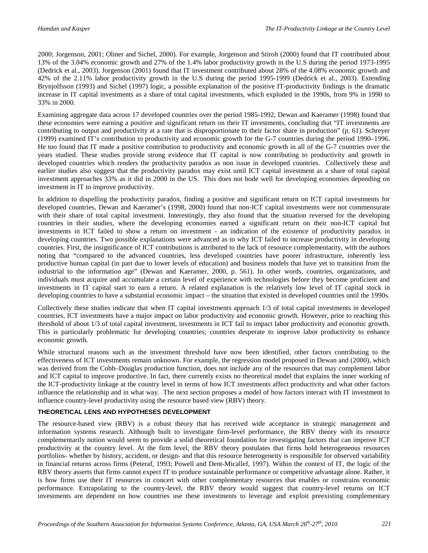2000; Jorgenson, 2001; Oliner and Sichel, 2000). For example, Jorgenson and Stiroh (2000) found that IT contributed about 13% of the 3.04% economic growth and 27% of the 1.4% labor productivity growth in the U.S during the period 1973-1995 (Dedrick et al., 2003). Jorgenson (2001) found that IT investment contributed about 28% of the 4.08% economic growth and 42% of the 2.11% labor productivity growth in the U.S during the period 1995-1999 (Dedrick et al., 2003). Extending Brynjolfsson (1993) and Sichel (1997) logic, a possible explanation of the positive IT-productivity findings is the dramatic increase in IT capital investments as a share of total capital investments, which exploded in the 1990s, from 9% in 1990 to 33% in 2000.

Examining aggregate data across 17 developed countries over the period 1985-1992, Dewan and Kaeramer (1998) found that these economies were earning a positive and significant return on their IT investments, concluding that "IT investments are contributing to output and productivity at a rate that is disproportionate to their factor share in production" (p. 61). Schreyer (1999) examined IT's contribution to productivity and economic growth for the G-7 countries during the period 1990–1996. He too found that IT made a positive contribution to productivity and economic growth in all of the G-7 countries over the years studied. These studies provide strong evidence that IT capital is now contributing to productivity and growth in developed countries which renders the productivity paradox as non issue in developed countries. Collectively these and earlier studies also suggest that the productivity paradox may exist until ICT capital investment as a share of total capital investment approaches 33% as it did in 2000 in the US. This does not bode well for developing economies depending on investment in IT to improve productivity.

In addition to dispelling the productivity paradox, finding a positive and significant return on ICT capital investments for developed countries, Dewan and Kaeramer's (1998, 2000) found that non-ICT capital investments were not commensurate with their share of total capital investment. Interestingly, they also found that the situation reversed for the developing countries in their studies, where the developing economies earned a significant return on their non-ICT capital but investments in ICT failed to show a return on investment - an indication of the existence of productivity paradox in developing countries. Two possible explanations were advanced as to why ICT failed to increase productivity in developing countries. First, the insignificance of ICT contributions is attributed to the lack of resource complementarity, with the authors noting that "compared to the advanced countries, less developed countries have poorer infrastructure, inherently less productive human capital (in part due to lower levels of education) and business models that have yet to transition from the industrial to the information age" (Dewan and Kaeramer, 2000, p. 561). In other words, countries, organizations, and individuals must acquire and accumulate a certain level of experience with technologies before they become proficient and investments in IT capital start to earn a return. A related explanation is the relatively low level of IT capital stock in developing countries to have a substantial economic impact – the situation that existed in developed countries until the 1990s.

Collectively these studies indicate that when IT capital investments approach 1/3 of total capital investments in developed countries, ICT investments have a major impact on labor productivity and economic growth. However, prior to reaching this threshold of about 1/3 of total capital investment, investments in ICT fail to impact labor productivity and economic growth. This is particularly problematic for developing countries; countries desperate to improve labor productivity to enhance economic growth.

While structural reasons such as the investment threshold have now been identified, other factors contributing to the effectiveness of ICT investments remain unknown. For example, the regression model proposed in Dewan and (2000), which was derived from the Cobb–Douglas production function, does not include any of the resources that may complement labor and ICT capital to improve productive. In fact, there currently exists no theoretical model that explains the inner working of the ICT-productivity linkage at the country level in terms of how ICT investments affect productivity and what other factors influence the relationship and in what way. The next section proposes a model of how factors interact with IT investment to influence country-level productivity using the resource based view (RBV) theory.

#### **THEORETICAL LENS AND HYPOTHESES DEVELOPMENT**

The resource-based view (RBV) is a robust theory that has received wide acceptance in strategic management and information systems research. Although built to investigate firm-level performance, the RBV theory with its resource complementarily notion would seem to provide a solid theoretical foundation for investigating factors that can improve ICT productivity at the country level. At the firm level, the RBV theory postulates that firms hold heterogeneous resources portfolios- whether by history, accident, or design- and that this resource heterogeneity is responsible for observed variability in financial returns across firms (Peteraf, 1993; Powell and Dent-Micallef, 1997). Within the context of IT, the logic of the RBV theory asserts that firms cannot expect IT to produce sustainable performance or competitive advantage alone. Rather, it is how firms use their IT resources in concert with other complementary resources that enables or constrains economic performance. Extrapolating to the country-level, the RBV theory would suggest that country-level returns on ICT investments are dependent on how countries use these investments to leverage and exploit preexisting complementary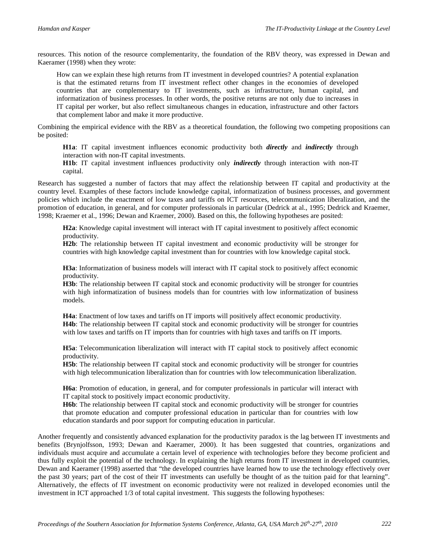resources. This notion of the resource complementarity, the foundation of the RBV theory, was expressed in Dewan and Kaeramer (1998) when they wrote:

How can we explain these high returns from IT investment in developed countries? A potential explanation is that the estimated returns from IT investment reflect other changes in the economies of developed countries that are complementary to IT investments, such as infrastructure, human capital, and informatization of business processes. In other words, the positive returns are not only due to increases in IT capital per worker, but also reflect simultaneous changes in education, infrastructure and other factors that complement labor and make it more productive.

Combining the empirical evidence with the RBV as a theoretical foundation, the following two competing propositions can be posited:

**H1a**: IT capital investment influences economic productivity both *directly* and *indirectly* through interaction with non-IT capital investments.

**H1b**: IT capital investment influences productivity only *indirectly* through interaction with non-IT capital.

Research has suggested a number of factors that may affect the relationship between IT capital and productivity at the country level. Examples of these factors include knowledge capital, informatization of business processes, and government policies which include the enactment of low taxes and tariffs on ICT resources, telecommunication liberalization, and the promotion of education, in general, and for computer professionals in particular (Dedrick at al., 1995; Dedrick and Kraemer, 1998; Kraemer et al., 1996; Dewan and Kraemer, 2000). Based on this, the following hypotheses are posited:

**H2a**: Knowledge capital investment will interact with IT capital investment to positively affect economic productivity.

**H2b**: The relationship between IT capital investment and economic productivity will be stronger for countries with high knowledge capital investment than for countries with low knowledge capital stock.

**H3a**: Informatization of business models will interact with IT capital stock to positively affect economic productivity.

**H3b**: The relationship between IT capital stock and economic productivity will be stronger for countries with high informatization of business models than for countries with low informatization of business models.

**H4a**: Enactment of low taxes and tariffs on IT imports will positively affect economic productivity. **H4b**: The relationship between IT capital stock and economic productivity will be stronger for countries with low taxes and tariffs on IT imports than for countries with high taxes and tariffs on IT imports.

**H5a**: Telecommunication liberalization will interact with IT capital stock to positively affect economic productivity.

**H5b**: The relationship between IT capital stock and economic productivity will be stronger for countries with high telecommunication liberalization than for countries with low telecommunication liberalization.

**H6a**: Promotion of education, in general, and for computer professionals in particular will interact with IT capital stock to positively impact economic productivity.

**H6b**: The relationship between IT capital stock and economic productivity will be stronger for countries that promote education and computer professional education in particular than for countries with low education standards and poor support for computing education in particular.

Another frequently and consistently advanced explanation for the productivity paradox is the lag between IT investments and benefits (Brynjolfsson, 1993; Dewan and Kaeramer, 2000). It has been suggested that countries, organizations and individuals must acquire and accumulate a certain level of experience with technologies before they become proficient and thus fully exploit the potential of the technology. In explaining the high returns from IT investment in developed countries, Dewan and Kaeramer (1998) asserted that "the developed countries have learned how to use the technology effectively over the past 30 years; part of the cost of their IT investments can usefully be thought of as the tuition paid for that learning". Alternatively, the effects of IT investment on economic productivity were not realized in developed economies until the investment in ICT approached 1/3 of total capital investment. This suggests the following hypotheses: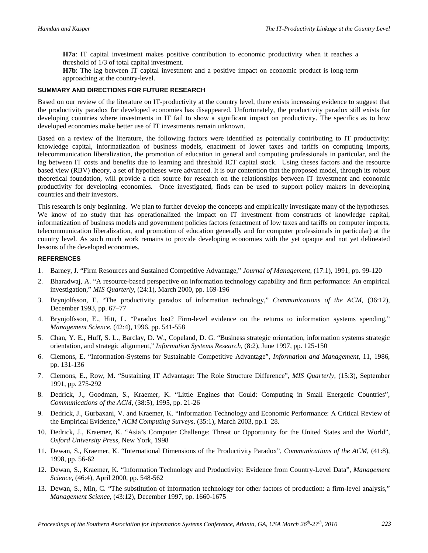**H7a**: IT capital investment makes positive contribution to economic productivity when it reaches a threshold of 1/3 of total capital investment.

**H7b**: The lag between IT capital investment and a positive impact on economic product is long-term approaching at the country-level.

#### **SUMMARY AND DIRECTIONS FOR FUTURE RESEARCH**

Based on our review of the literature on IT-productivity at the country level, there exists increasing evidence to suggest that the productivity paradox for developed economies has disappeared. Unfortunately, the productivity paradox still exists for developing countries where investments in IT fail to show a significant impact on productivity. The specifics as to how developed economies make better use of IT investments remain unknown.

Based on a review of the literature, the following factors were identified as potentially contributing to IT productivity: knowledge capital, informatization of business models, enactment of lower taxes and tariffs on computing imports, telecommunication liberalization, the promotion of education in general and computing professionals in particular, and the lag between IT costs and benefits due to learning and threshold ICT capital stock. Using theses factors and the resource based view (RBV) theory, a set of hypotheses were advanced. It is our contention that the proposed model, through its robust theoretical foundation, will provide a rich source for research on the relationships between IT investment and economic productivity for developing economies. Once investigated, finds can be used to support policy makers in developing countries and their investors.

This research is only beginning. We plan to further develop the concepts and empirically investigate many of the hypotheses. We know of no study that has operationalized the impact on IT investment from constructs of knowledge capital, informatization of business models and government policies factors (enactment of low taxes and tariffs on computer imports, telecommunication liberalization, and promotion of education generally and for computer professionals in particular) at the country level. As such much work remains to provide developing economies with the yet opaque and not yet delineated lessons of the developed economies.

#### **REFERENCES**

- 1. Barney, J. "Firm Resources and Sustained Competitive Advantage," *Journal of Management*, (17:1), 1991, pp. 99-120
- 2. Bharadwaj, A. "A resource-based perspective on information technology capability and firm performance: An empirical investigation," *MIS Quarterly*, (24:1), March 2000, pp. 169-196
- 3. Brynjolfsson, E. "The productivity paradox of information technology," *Communications of the ACM*, (36:12), December 1993, pp. 67–77
- 4. Brynjolfsson, E., Hitt, L. "Paradox lost? Firm-level evidence on the returns to information systems spending," *Management Science*, (42:4), 1996, pp. 541-558
- 5. Chan, Y. E., Huff, S. L., Barclay, D. W., Copeland, D. G. "Business strategic orientation, information systems strategic orientation, and strategic alignment," *Information Systems Research*, (8:2), June 1997, pp. 125-150
- 6. Clemons, E. "Information-Systems for Sustainable Competitive Advantage", *Information and Management*, 11, 1986, pp. 131-136
- 7. Clemons, E., Row, M. "Sustaining IT Advantage: The Role Structure Difference", *MIS Quarterly*, (15:3), September 1991, pp. 275-292
- 8. Dedrick, J., Goodman, S., Kraemer, K. "Little Engines that Could: Computing in Small Energetic Countries", *Communications of the ACM*, (38:5), 1995, pp. 21-26
- 9. Dedrick, J., Gurbaxani, V. and Kraemer, K. "Information Technology and Economic Performance: A Critical Review of the Empirical Evidence," *ACM Computing Surveys*, (35:1), March 2003, pp.1–28.
- 10. Dedrick, J., Kraemer, K. "Asia's Computer Challenge: Threat or Opportunity for the United States and the World", *Oxford University Press*, New York, 1998
- 11. Dewan, S., Kraemer, K. "International Dimensions of the Productivity Paradox", *Communications of the ACM*, (41:8), 1998, pp. 56-62
- 12. Dewan, S., Kraemer, K. "Information Technology and Productivity: Evidence from Country-Level Data", *Management Science*, (46:4), April 2000, pp. 548-562
- 13. Dewan, S., Min, C. "The substitution of information technology for other factors of production: a firm-level analysis," *Management Science*, (43:12), December 1997, pp. 1660-1675